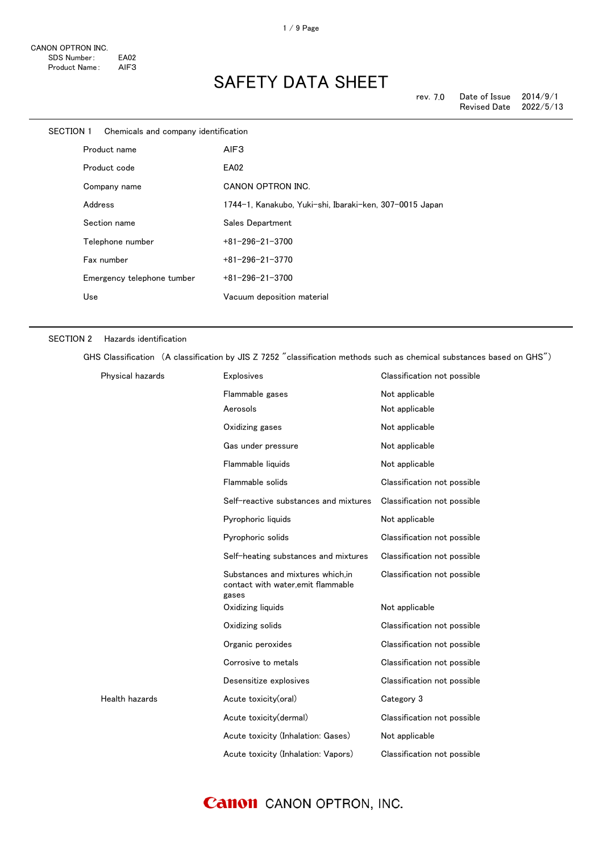| SECTION 1 |         | Chemicals and company identification |                                                         |
|-----------|---------|--------------------------------------|---------------------------------------------------------|
|           |         | Product name                         | AIF3                                                    |
|           |         | Product code                         | EA02                                                    |
|           |         | Company name                         | CANON OPTRON INC.                                       |
|           | Address |                                      | 1744-1, Kanakubo, Yuki-shi, Ibaraki-ken, 307-0015 Japan |
|           |         | Section name                         | Sales Department                                        |
|           |         | Telephone number                     | $+81 - 296 - 21 - 3700$                                 |
|           |         | Fax number                           | $+81 - 296 - 21 - 3770$                                 |
|           |         | Emergency telephone tumber           | $+81 - 296 - 21 - 3700$                                 |
|           | Use     |                                      | Vacuum deposition material                              |
|           |         |                                      |                                                         |

#### SECTION 2 Hazards identification

GHS Classification (A classification by JIS Z 7252 "classification methods such as chemical substances based on GHS")

| Physical hazards | <b>Explosives</b>                                                               | Classification not possible |
|------------------|---------------------------------------------------------------------------------|-----------------------------|
|                  | Flammable gases                                                                 | Not applicable              |
|                  | Aerosols                                                                        | Not applicable              |
|                  | Oxidizing gases                                                                 | Not applicable              |
|                  | Gas under pressure                                                              | Not applicable              |
|                  | Flammable liquids                                                               | Not applicable              |
|                  | Flammable solids                                                                | Classification not possible |
|                  | Self-reactive substances and mixtures                                           | Classification not possible |
|                  | Pyrophoric liquids                                                              | Not applicable              |
|                  | Pyrophoric solids                                                               | Classification not possible |
|                  | Self-heating substances and mixtures                                            | Classification not possible |
|                  | Substances and mixtures which.in<br>contact with water, emit flammable<br>gases | Classification not possible |
|                  | Oxidizing liquids                                                               | Not applicable              |
|                  | Oxidizing solids                                                                | Classification not possible |
|                  | Organic peroxides                                                               | Classification not possible |
|                  | Corrosive to metals                                                             | Classification not possible |
|                  | Desensitize explosives                                                          | Classification not possible |
| Health hazards   | Acute toxicity(oral)                                                            | Category 3                  |
|                  | Acute toxicity(dermal)                                                          | Classification not possible |
|                  | Acute toxicity (Inhalation: Gases)                                              | Not applicable              |
|                  | Acute toxicity (Inhalation: Vapors)                                             | Classification not possible |

### **Canon** CANON OPTRON, INC.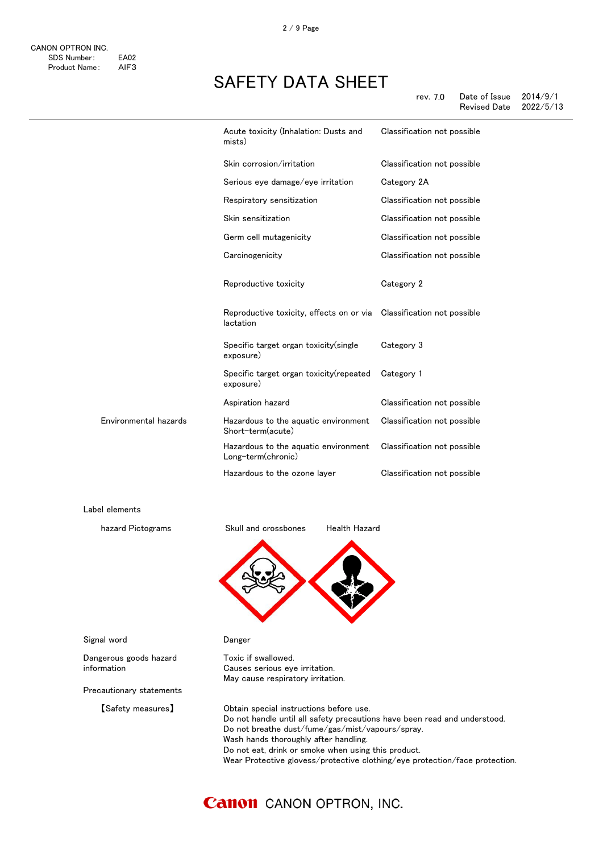|                       | Acute toxicity (Inhalation: Dusts and<br>mists)                                   | Classification not possible |
|-----------------------|-----------------------------------------------------------------------------------|-----------------------------|
|                       | Skin corrosion/irritation                                                         | Classification not possible |
|                       | Serious eye damage/eye irritation                                                 | Category 2A                 |
|                       | Respiratory sensitization                                                         | Classification not possible |
|                       | Skin sensitization                                                                | Classification not possible |
|                       | Germ cell mutagenicity                                                            | Classification not possible |
|                       | Carcinogenicity                                                                   | Classification not possible |
|                       | Reproductive toxicity                                                             | Category 2                  |
|                       | Reproductive toxicity, effects on or via Classification not possible<br>lactation |                             |
|                       | Specific target organ toxicity (single<br>exposure)                               | Category 3                  |
|                       | Specific target organ toxicity (repeated<br>exposure)                             | Category 1                  |
|                       | Aspiration hazard                                                                 | Classification not possible |
| Environmental hazards | Hazardous to the aquatic environment<br>Short-term(acute)                         | Classification not possible |
|                       | Hazardous to the aquatic environment<br>Long-term(chronic)                        | Classification not possible |
|                       | Hazardous to the ozone layer                                                      | Classification not possible |

Label elements



Toxic if swallowed.

Causes serious eye irritation. May cause respiratory irritation.



Signal word **Danger** 

Dangerous goods hazard information

Precautionary statements

【Safety measures】 Obtain special instructions before use. Do not handle until all safety precautions have been read and understood. Do not breathe dust/fume/gas/mist/vapours/spray. Wash hands thoroughly after handling. Do not eat, drink or smoke when using this product. Wear Protective glovess/protective clothing/eye protection/face protection.

### **Canon** CANON OPTRON, INC.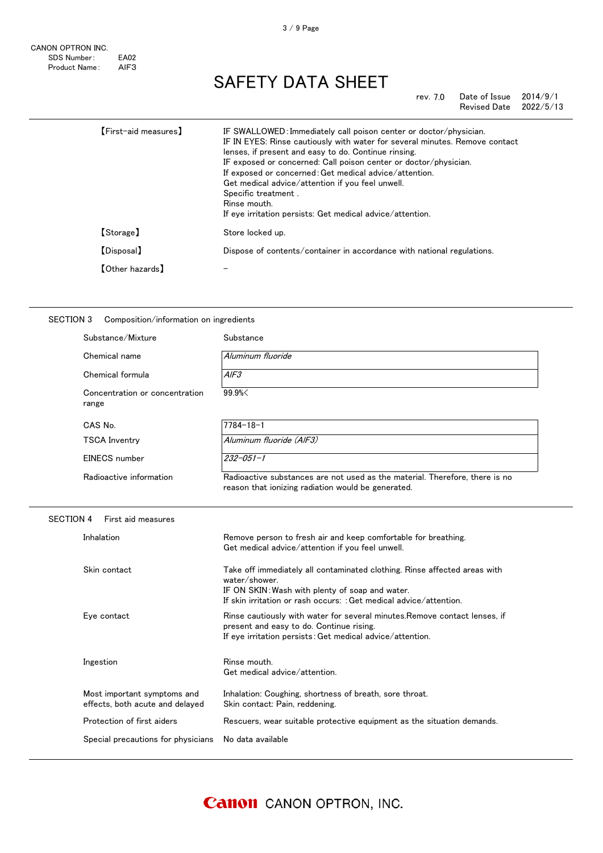rev. 7.0 Date of Issue 2014/9/1 Revised Date

| [First-aid measures]   | IF SWALLOWED: Immediately call poison center or doctor/physician.<br>IF IN EYES: Rinse cautiously with water for several minutes. Remove contact<br>lenses, if present and easy to do. Continue rinsing.<br>IF exposed or concerned: Call poison center or doctor/physician.<br>If exposed or concerned: Get medical advice/attention.<br>Get medical advice/attention if you feel unwell.<br>Specific treatment.<br>Rinse mouth.<br>If eye irritation persists: Get medical advice/attention. |
|------------------------|------------------------------------------------------------------------------------------------------------------------------------------------------------------------------------------------------------------------------------------------------------------------------------------------------------------------------------------------------------------------------------------------------------------------------------------------------------------------------------------------|
| [Storage]              | Store locked up.                                                                                                                                                                                                                                                                                                                                                                                                                                                                               |
| [Disposal]             | Dispose of contents/container in accordance with national regulations.                                                                                                                                                                                                                                                                                                                                                                                                                         |
| <b>[Other hazards]</b> |                                                                                                                                                                                                                                                                                                                                                                                                                                                                                                |

#### SECTION 3 Composition/information on ingredients

| Substance/Mixture                                              | Substance                                                                                                                                                                                                           |
|----------------------------------------------------------------|---------------------------------------------------------------------------------------------------------------------------------------------------------------------------------------------------------------------|
| Chemical name                                                  | Aluminum fluoride                                                                                                                                                                                                   |
| Chemical formula                                               | A/F3                                                                                                                                                                                                                |
| Concentration or concentration<br>range                        | 99.9%                                                                                                                                                                                                               |
| CAS No.                                                        | $7784 - 18 - 1$                                                                                                                                                                                                     |
| <b>TSCA Inventry</b>                                           | Aluminum fluoride (AIF3)                                                                                                                                                                                            |
| <b>EINECS</b> number                                           | $232 - 051 - 1$                                                                                                                                                                                                     |
| Radioactive information                                        | Radioactive substances are not used as the material. Therefore, there is no<br>reason that ionizing radiation would be generated.                                                                                   |
| <b>SECTION 4</b><br>First aid measures                         |                                                                                                                                                                                                                     |
| Inhalation                                                     | Remove person to fresh air and keep comfortable for breathing.<br>Get medical advice/attention if you feel unwell.                                                                                                  |
| Skin contact                                                   | Take off immediately all contaminated clothing. Rinse affected areas with<br>water/shower.<br>IF ON SKIN: Wash with plenty of soap and water.<br>If skin irritation or rash occurs: : Get medical advice/attention. |
| Eye contact                                                    | Rinse cautiously with water for several minutes. Remove contact lenses, if<br>present and easy to do. Continue rising.<br>If eye irritation persists: Get medical advice/attention.                                 |
| Ingestion                                                      | Rinse mouth.<br>Get medical advice/attention.                                                                                                                                                                       |
| Most important symptoms and<br>effects, both acute and delayed | Inhalation: Coughing, shortness of breath, sore throat.<br>Skin contact: Pain, reddening.                                                                                                                           |
| Protection of first aiders                                     | Rescuers, wear suitable protective equipment as the situation demands.                                                                                                                                              |
| Special precautions for physicians                             | No data available                                                                                                                                                                                                   |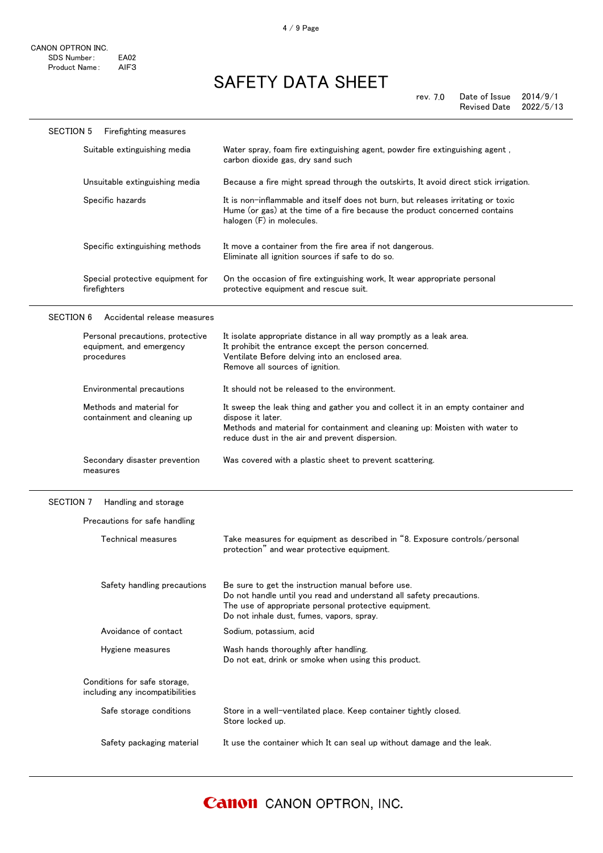| <b>SECTION 5</b> | <b>Firefighting measures</b>                                               |                                                                                                                                                                                                                                       |
|------------------|----------------------------------------------------------------------------|---------------------------------------------------------------------------------------------------------------------------------------------------------------------------------------------------------------------------------------|
|                  | Suitable extinguishing media                                               | Water spray, foam fire extinguishing agent, powder fire extinguishing agent,<br>carbon dioxide gas, dry sand such                                                                                                                     |
|                  | Unsuitable extinguishing media                                             | Because a fire might spread through the outskirts, It avoid direct stick irrigation.                                                                                                                                                  |
|                  | Specific hazards                                                           | It is non-inflammable and itself does not burn, but releases irritating or toxic<br>Hume (or gas) at the time of a fire because the product concerned contains<br>halogen (F) in molecules.                                           |
|                  | Specific extinguishing methods                                             | It move a container from the fire area if not dangerous.<br>Eliminate all ignition sources if safe to do so.                                                                                                                          |
|                  | Special protective equipment for<br>firefighters                           | On the occasion of fire extinguishing work, It wear appropriate personal<br>protective equipment and rescue suit.                                                                                                                     |
| <b>SECTION 6</b> | Accidental release measures                                                |                                                                                                                                                                                                                                       |
|                  | Personal precautions, protective<br>equipment, and emergency<br>procedures | It isolate appropriate distance in all way promptly as a leak area.<br>It prohibit the entrance except the person concerned.<br>Ventilate Before delving into an enclosed area.<br>Remove all sources of ignition.                    |
|                  | Environmental precautions                                                  | It should not be released to the environment.                                                                                                                                                                                         |
|                  | Methods and material for<br>containment and cleaning up                    | It sweep the leak thing and gather you and collect it in an empty container and<br>dispose it later.<br>Methods and material for containment and cleaning up: Moisten with water to<br>reduce dust in the air and prevent dispersion. |

#### Secondary disaster prevention Was covered with a plastic sheet to prevent scattering.

#### SECTION 7 Handling and storage

measures

| Precautions for safe handling                                   |                                                                                                                                                                                                                                |
|-----------------------------------------------------------------|--------------------------------------------------------------------------------------------------------------------------------------------------------------------------------------------------------------------------------|
| Technical measures                                              | Take measures for equipment as described in "8. Exposure controls/personal<br>protection" and wear protective equipment.                                                                                                       |
| Safety handling precautions                                     | Be sure to get the instruction manual before use.<br>Do not handle until you read and understand all safety precautions.<br>The use of appropriate personal protective equipment.<br>Do not inhale dust, fumes, vapors, spray. |
| Avoidance of contact                                            | Sodium, potassium, acid                                                                                                                                                                                                        |
| Hygiene measures                                                | Wash hands thoroughly after handling.<br>Do not eat, drink or smoke when using this product.                                                                                                                                   |
| Conditions for safe storage,<br>including any incompatibilities |                                                                                                                                                                                                                                |
| Safe storage conditions                                         | Store in a well-ventilated place. Keep container tightly closed.<br>Store locked up.                                                                                                                                           |
| Safety packaging material                                       | It use the container which It can seal up without damage and the leak.                                                                                                                                                         |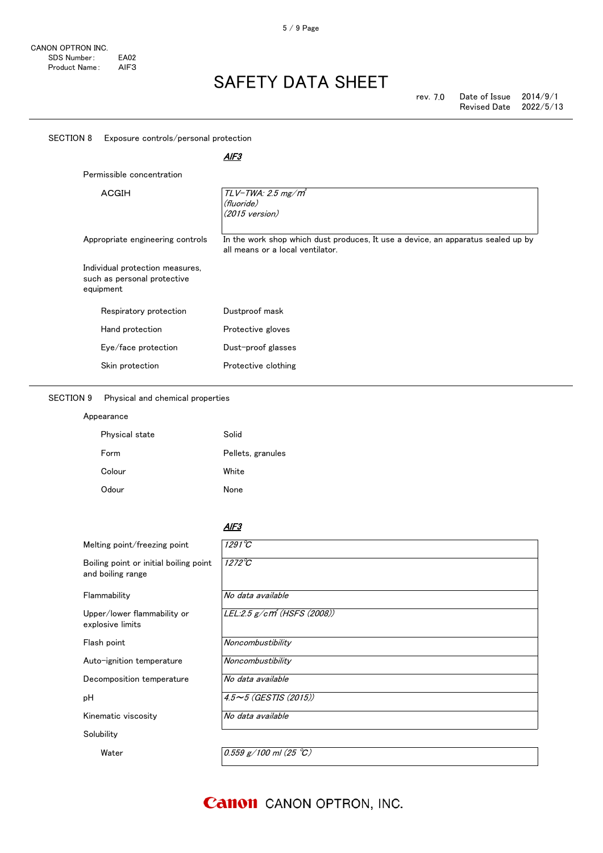$\overline{a}$ 

# SAFETY DATA SHEET

|                                                                             | <u>AIF3</u>                                                                                                          |
|-----------------------------------------------------------------------------|----------------------------------------------------------------------------------------------------------------------|
| Permissible concentration                                                   |                                                                                                                      |
| <b>ACGIH</b>                                                                | $TLV$ -TWA: 2.5 mg/m <sup>3</sup><br>(fluoride)<br>$(2015 \text{ version})$                                          |
| Appropriate engineering controls                                            | In the work shop which dust produces, It use a device, an apparatus sealed up by<br>all means or a local ventilator. |
| Individual protection measures,<br>such as personal protective<br>equipment |                                                                                                                      |
| Respiratory protection                                                      | Dustproof mask                                                                                                       |
| Hand protection                                                             | Protective gloves                                                                                                    |
| Eye/face protection                                                         | Dust-proof glasses                                                                                                   |
| Skin protection                                                             | Protective clothing                                                                                                  |
| <b>SECTION 9</b><br>Physical and chemical properties                        |                                                                                                                      |
| Appearance                                                                  |                                                                                                                      |
| Physical state                                                              | Solid                                                                                                                |
| Form                                                                        | Pellets, granules                                                                                                    |
| Colour                                                                      | White                                                                                                                |
| Odour                                                                       | None                                                                                                                 |
|                                                                             |                                                                                                                      |
|                                                                             | AIF3                                                                                                                 |
| Melting point/freezing point                                                | $1291^{\circ}C$                                                                                                      |
| Boiling point or initial boiling point<br>and boiling range                 | $1272^{\circ}C$                                                                                                      |
| Flammability                                                                | No data available                                                                                                    |
| Upper/lower flammability or<br>explosive limits                             | LEL:2.5 g/cm <sup>3</sup> (HSFS (2008))                                                                              |
| Flash point                                                                 | Noncombustibility                                                                                                    |
| Auto-ignition temperature                                                   | Noncombustibility                                                                                                    |
| Decomposition temperature                                                   | No data available                                                                                                    |
| pH                                                                          | $4.5 \sim 5$ (GESTIS (2015))                                                                                         |
| Kinematic viscosity                                                         | No data available                                                                                                    |
|                                                                             |                                                                                                                      |

### **Canon** CANON OPTRON, INC.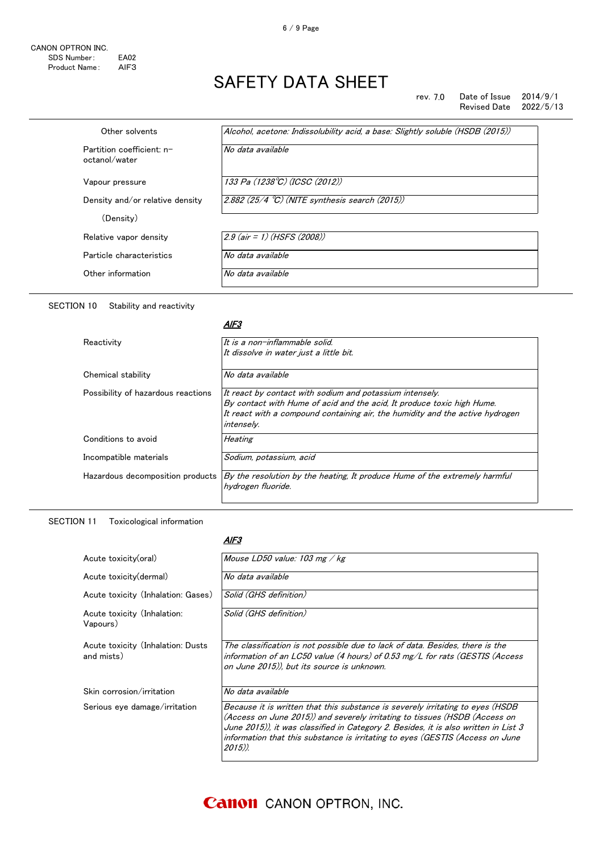6 / 9 Page

#### rev. 7.0 Date of Issue 2014/9/1 Revised Date

| Other solvents                             | Alcohol, acetone: Indissolubility acid, a base: Slightly soluble (HSDB (2015)) |
|--------------------------------------------|--------------------------------------------------------------------------------|
| Partition coefficient: n-<br>octanol/water | No data available                                                              |
| Vapour pressure                            | 133 Pa (1238°C) (ICSC (2012))                                                  |
| Density and/or relative density            | 2.882 $(25/4 °C)$ (NITE synthesis search (2015))                               |
| (Density)                                  |                                                                                |
| Relative vapor density                     | $2.9$ (air = 1) (HSFS (2008))                                                  |
| Particle characteristics                   | No data available                                                              |
| Other information                          | No data available                                                              |
|                                            |                                                                                |

### SECTION 10 Stability and reactivity

#### AlF3

| Reactivity                         | It is a non-inflammable solid.                                                                                                                                                                                                           |
|------------------------------------|------------------------------------------------------------------------------------------------------------------------------------------------------------------------------------------------------------------------------------------|
|                                    | It dissolve in water just a little bit.                                                                                                                                                                                                  |
| Chemical stability                 | No data available                                                                                                                                                                                                                        |
| Possibility of hazardous reactions | It react by contact with sodium and potassium intensely.<br>By contact with Hume of acid and the acid, It produce toxic high Hume.<br>It react with a compound containing air, the humidity and the active hydrogen<br><i>intenselv.</i> |
| Conditions to avoid                | Heating                                                                                                                                                                                                                                  |
| Incompatible materials             | Sodium, potassium, acid                                                                                                                                                                                                                  |
| Hazardous decomposition products   | By the resolution by the heating, It produce Hume of the extremely harmful<br>hvdrogen fluoride.                                                                                                                                         |

#### SECTION 11 Toxicological information

#### AlF3

| Acute toxicity(oral)                            | Mouse LD50 value: 103 mg / kg                                                                                                                                                                                                                                                                                                                   |
|-------------------------------------------------|-------------------------------------------------------------------------------------------------------------------------------------------------------------------------------------------------------------------------------------------------------------------------------------------------------------------------------------------------|
| Acute toxicity (dermal)                         | No data available                                                                                                                                                                                                                                                                                                                               |
| Acute toxicity (Inhalation: Gases)              | Solid (GHS definition)                                                                                                                                                                                                                                                                                                                          |
| Acute toxicity (Inhalation:<br>Vapours)         | Solid (GHS definition)                                                                                                                                                                                                                                                                                                                          |
| Acute toxicity (Inhalation: Dusts<br>and mists) | The classification is not possible due to lack of data. Besides, there is the<br>information of an LC50 value (4 hours) of 0.53 mg/L for rats (GESTIS (Access<br>on June 2015)), but its source is unknown.                                                                                                                                     |
| Skin corrosion/irritation                       | No data available                                                                                                                                                                                                                                                                                                                               |
| Serious eye damage/irritation                   | Because it is written that this substance is severely irritating to eyes (HSDB<br>(Access on June 2015)) and severely irritating to tissues (HSDB (Access on<br>June 2015)), it was classified in Category 2. Besides, it is also written in List 3<br>information that this substance is irritating to eyes (GESTIS (Access on June<br>2015)). |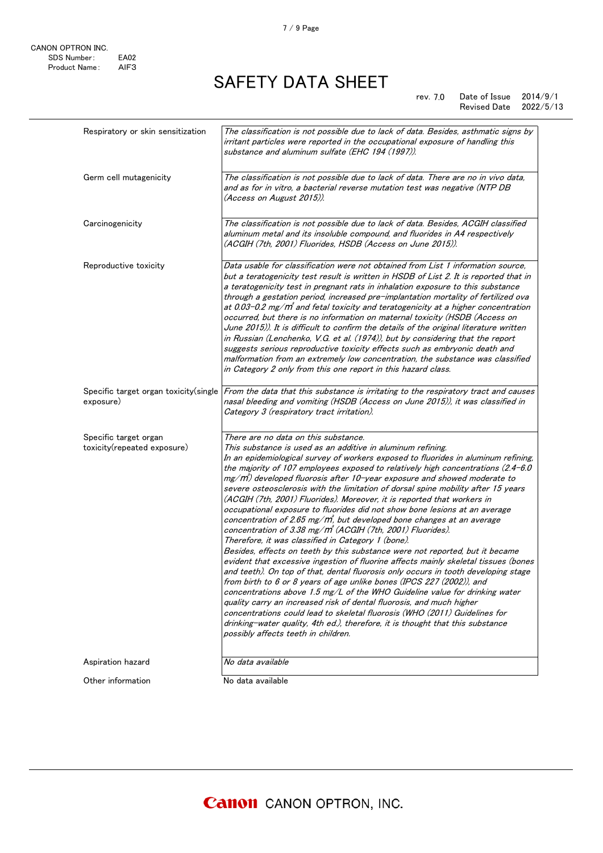rev. 7.0 Date of Issue 2014/9/1 Revised Date

| Respiratory or skin sensitization                    | The classification is not possible due to lack of data. Besides, asthmatic signs by<br>irritant particles were reported in the occupational exposure of handling this<br>substance and aluminum sulfate (EHC 194 (1997)).                                                                                                                                                                                                                                                                                                                                                                                                                                                                                                                                                                                                                                                                                                                                                                                                                                                                                                                                                                                                                                                                                                                                                                                                                                                                                               |
|------------------------------------------------------|-------------------------------------------------------------------------------------------------------------------------------------------------------------------------------------------------------------------------------------------------------------------------------------------------------------------------------------------------------------------------------------------------------------------------------------------------------------------------------------------------------------------------------------------------------------------------------------------------------------------------------------------------------------------------------------------------------------------------------------------------------------------------------------------------------------------------------------------------------------------------------------------------------------------------------------------------------------------------------------------------------------------------------------------------------------------------------------------------------------------------------------------------------------------------------------------------------------------------------------------------------------------------------------------------------------------------------------------------------------------------------------------------------------------------------------------------------------------------------------------------------------------------|
| Germ cell mutagenicity                               | The classification is not possible due to lack of data. There are no in vivo data,<br>and as for in vitro, a bacterial reverse mutation test was negative (NTP DB<br>(Access on August 2015)).                                                                                                                                                                                                                                                                                                                                                                                                                                                                                                                                                                                                                                                                                                                                                                                                                                                                                                                                                                                                                                                                                                                                                                                                                                                                                                                          |
| Carcinogenicity                                      | The classification is not possible due to lack of data. Besides, ACGIH classified<br>aluminum metal and its insoluble compound, and fluorides in A4 respectively<br>(ACGIH (7th, 2001) Fluorides, HSDB (Access on June 2015)).                                                                                                                                                                                                                                                                                                                                                                                                                                                                                                                                                                                                                                                                                                                                                                                                                                                                                                                                                                                                                                                                                                                                                                                                                                                                                          |
| Reproductive toxicity                                | Data usable for classification were not obtained from List 1 information source,<br>but a teratogenicity test result is written in HSDB of List 2. It is reported that in<br>a teratogenicity test in pregnant rats in inhalation exposure to this substance<br>through a gestation period, increased pre-implantation mortality of fertilized ova<br>at 0.03-0.2 mg/m <sup>3</sup> and fetal toxicity and teratogenicity at a higher concentration<br>occurred, but there is no information on maternal toxicity (HSDB (Access on<br>June 2015)). It is difficult to confirm the details of the original literature written<br>in Russian (Lenchenko, V.G. et al. (1974)), but by considering that the report<br>suggests serious reproductive toxicity effects such as embryonic death and<br>malformation from an extremely low concentration, the substance was classified<br>in Category 2 only from this one report in this hazard class.                                                                                                                                                                                                                                                                                                                                                                                                                                                                                                                                                                         |
| Specific target organ toxicity (single<br>exposure)  | From the data that this substance is irritating to the respiratory tract and causes<br>nasal bleeding and vomiting (HSDB (Access on June 2015)), it was classified in<br>Category 3 (respiratory tract irritation).                                                                                                                                                                                                                                                                                                                                                                                                                                                                                                                                                                                                                                                                                                                                                                                                                                                                                                                                                                                                                                                                                                                                                                                                                                                                                                     |
| Specific target organ<br>toxicity(repeated exposure) | There are no data on this substance.<br>This substance is used as an additive in aluminum refining.<br>In an epidemiological survey of workers exposed to fluorides in aluminum refining,<br>the majority of 107 employees exposed to relatively high concentrations $(2.4 - 6.0)$<br>mg/m) developed fluorosis after 10-year exposure and showed moderate to<br>severe osteosclerosis with the limitation of dorsal spine mobility after 15 years<br>(ACGIH (7th, 2001) Fluorides). Moreover, it is reported that workers in<br>occupational exposure to fluorides did not show bone lesions at an average<br>concentration of 2.65 mg/m, but developed bone changes at an average<br>concentration of 3.38 mg/m <sup>3</sup> (ACGIH (7th, 2001) Fluorides).<br>Therefore, it was classified in Category 1 (bone).<br>Besides, effects on teeth by this substance were not reported, but it became<br>evident that excessive ingestion of fluorine affects mainly skeletal tissues (bones<br>and teeth). On top of that, dental fluorosis only occurs in tooth developing stage<br>from birth to 6 or 8 years of age unlike bones (IPCS 227 (2002)), and<br>concentrations above 1.5 mg/L of the WHO Guideline value for drinking water<br>quality carry an increased risk of dental fluorosis, and much higher<br>concentrations could lead to skeletal fluorosis (WHO (2011) Guidelines for<br>drinking-water quality, 4th ed.), therefore, it is thought that this substance<br>possibly affects teeth in children. |
| Aspiration hazard                                    | No data available                                                                                                                                                                                                                                                                                                                                                                                                                                                                                                                                                                                                                                                                                                                                                                                                                                                                                                                                                                                                                                                                                                                                                                                                                                                                                                                                                                                                                                                                                                       |
| Other information                                    | No data available                                                                                                                                                                                                                                                                                                                                                                                                                                                                                                                                                                                                                                                                                                                                                                                                                                                                                                                                                                                                                                                                                                                                                                                                                                                                                                                                                                                                                                                                                                       |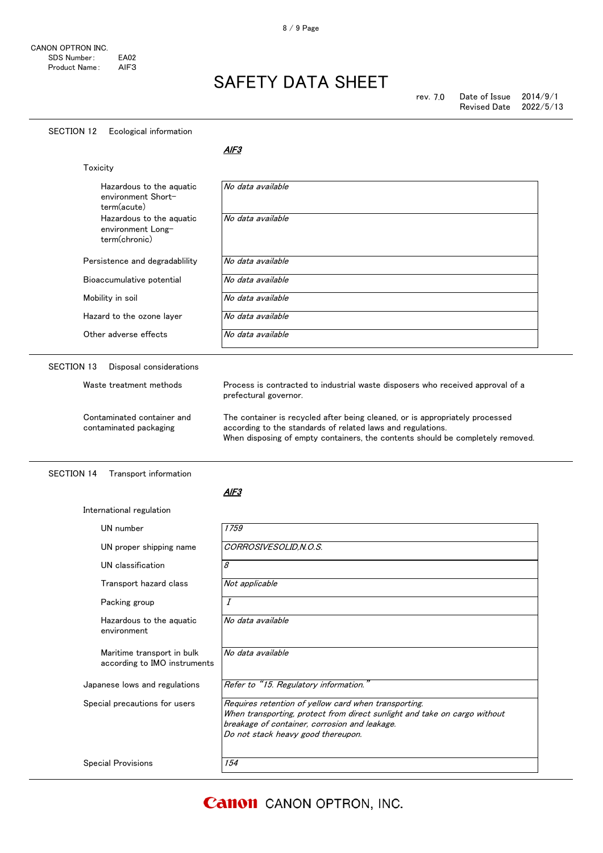$\overline{a}$ 

### SAFETY DATA SHEET

#### SECTION 12 Ecological information

 $AIF3$ 

|                   | Toxicity                                                       |                                                                                                                                                                                                                               |
|-------------------|----------------------------------------------------------------|-------------------------------------------------------------------------------------------------------------------------------------------------------------------------------------------------------------------------------|
|                   | Hazardous to the aguatic<br>environment Short-<br>term(acute)  | No data available                                                                                                                                                                                                             |
|                   | Hazardous to the aquatic<br>environment Long-<br>term(chronic) | No data available                                                                                                                                                                                                             |
|                   | Persistence and degradability                                  | No data available                                                                                                                                                                                                             |
|                   | Bioaccumulative potential                                      | No data available                                                                                                                                                                                                             |
|                   | Mobility in soil                                               | No data available                                                                                                                                                                                                             |
|                   | Hazard to the ozone layer                                      | No data available                                                                                                                                                                                                             |
|                   | Other adverse effects                                          | No data available                                                                                                                                                                                                             |
| <b>SECTION 13</b> | Disposal considerations                                        |                                                                                                                                                                                                                               |
|                   | Waste treatment methods                                        | Process is contracted to industrial waste disposers who received approval of a<br>prefectural governor.                                                                                                                       |
|                   | Contaminated container and<br>contaminated packaging           | The container is recycled after being cleaned, or is appropriately processed<br>according to the standards of related laws and regulations.<br>When disposing of empty containers, the contents should be completely removed. |

#### AlF3

| International regulation                                   |                                                                                                                                                                                                                          |
|------------------------------------------------------------|--------------------------------------------------------------------------------------------------------------------------------------------------------------------------------------------------------------------------|
| UN number                                                  | 1759                                                                                                                                                                                                                     |
| UN proper shipping name                                    | CORROSIVESOLID, N.O.S.                                                                                                                                                                                                   |
| UN classification                                          | 8                                                                                                                                                                                                                        |
| Transport hazard class                                     | Not applicable                                                                                                                                                                                                           |
| Packing group                                              | I                                                                                                                                                                                                                        |
| Hazardous to the aguatic<br>environment                    | No data available                                                                                                                                                                                                        |
| Maritime transport in bulk<br>according to IMO instruments | No data available                                                                                                                                                                                                        |
| Japanese lows and regulations                              | Refer to "15. Regulatory information."                                                                                                                                                                                   |
| Special precautions for users                              | Requires retention of yellow card when transporting.<br>When transporting, protect from direct sunlight and take on cargo without<br>breakage of container, corrosion and leakage.<br>Do not stack heavy good thereupon. |
| <b>Special Provisions</b>                                  | 154                                                                                                                                                                                                                      |